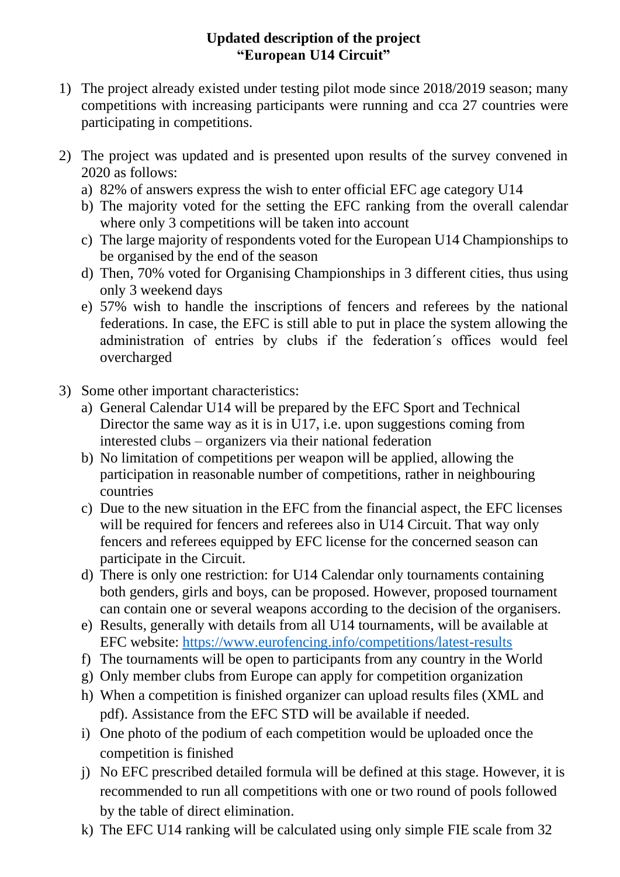## **Updated description of the project "European U14 Circuit"**

- 1) The project already existed under testing pilot mode since 2018/2019 season; many competitions with increasing participants were running and cca 27 countries were participating in competitions.
- 2) The project was updated and is presented upon results of the survey convened in 2020 as follows:
	- a) 82% of answers express the wish to enter official EFC age category U14
	- b) The majority voted for the setting the EFC ranking from the overall calendar where only 3 competitions will be taken into account
	- c) The large majority of respondents voted for the European U14 Championships to be organised by the end of the season
	- d) Then, 70% voted for Organising Championships in 3 different cities, thus using only 3 weekend days
	- e) 57% wish to handle the inscriptions of fencers and referees by the national federations. In case, the EFC is still able to put in place the system allowing the administration of entries by clubs if the federation´s offices would feel overcharged
- 3) Some other important characteristics:
	- a) General Calendar U14 will be prepared by the EFC Sport and Technical Director the same way as it is in U17, i.e. upon suggestions coming from interested clubs – organizers via their national federation
	- b) No limitation of competitions per weapon will be applied, allowing the participation in reasonable number of competitions, rather in neighbouring countries
	- c) Due to the new situation in the EFC from the financial aspect, the EFC licenses will be required for fencers and referees also in U14 Circuit. That way only fencers and referees equipped by EFC license for the concerned season can participate in the Circuit.
	- d) There is only one restriction: for U14 Calendar only tournaments containing both genders, girls and boys, can be proposed. However, proposed tournament can contain one or several weapons according to the decision of the organisers.
	- e) Results, generally with details from all U14 tournaments, will be available at EFC website:<https://www.eurofencing.info/competitions/latest-results>
	- f) The tournaments will be open to participants from any country in the World
	- g) Only member clubs from Europe can apply for competition organization
	- h) When a competition is finished organizer can upload results files (XML and pdf). Assistance from the EFC STD will be available if needed.
	- i) One photo of the podium of each competition would be uploaded once the competition is finished
	- j) No EFC prescribed detailed formula will be defined at this stage. However, it is recommended to run all competitions with one or two round of pools followed by the table of direct elimination.
	- k) The EFC U14 ranking will be calculated using only simple FIE scale from 32